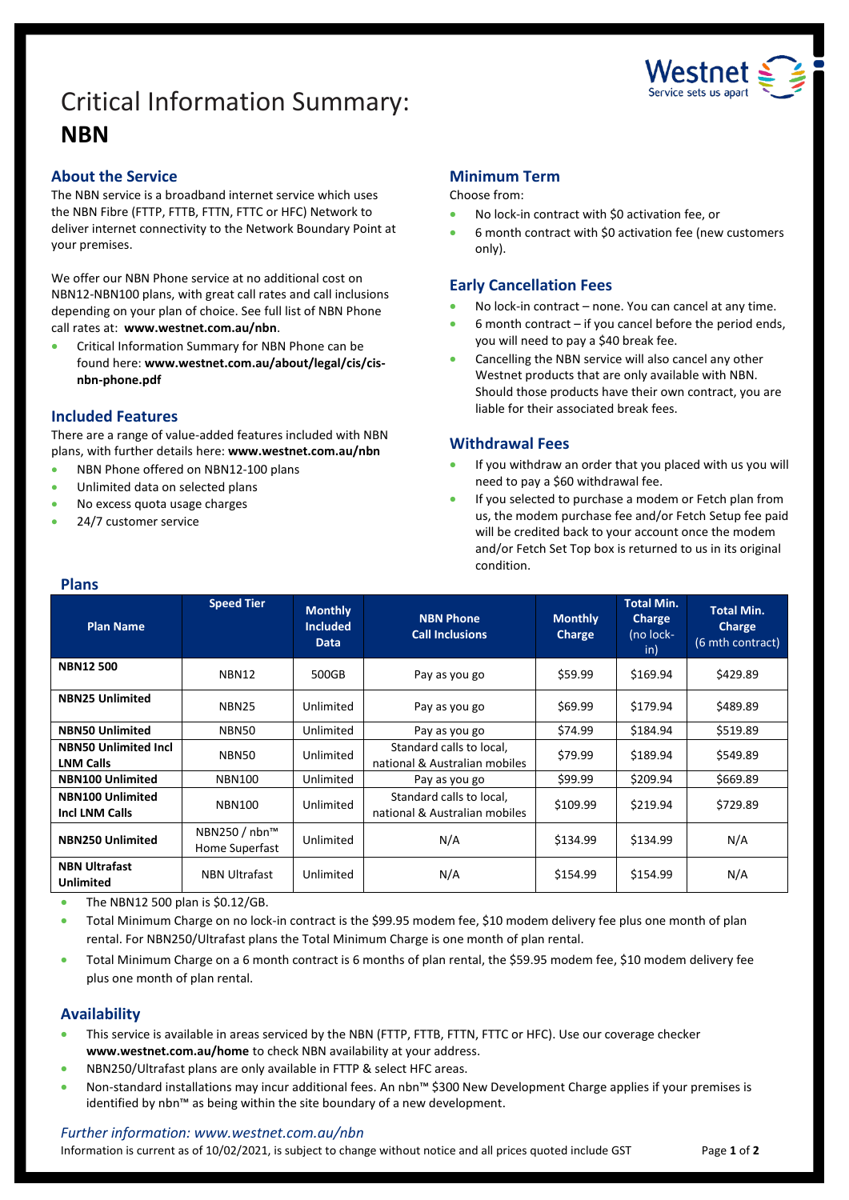# Critical Information Summary: **NBN**



### **About the Service**

The NBN service is a broadband internet service which uses the NBN Fibre (FTTP, FTTB, FTTN, FTTC or HFC) Network to deliver internet connectivity to the Network Boundary Point at your premises.

We offer our NBN Phone service at no additional cost on NBN12-NBN100 plans, with great call rates and call inclusions depending on your plan of choice. See full list of NBN Phone call rates at: **www.westnet.com.au/nbn**.

• Critical Information Summary for NBN Phone can be found here: **www.westnet.com.au/about/legal/cis/cisnbn-phone.pdf**

# **Included Features**

There are a range of value-added features included with NBN plans, with further details here: **www.westnet.com.au/nbn**

- NBN Phone offered on NBN12-100 plans
- Unlimited data on selected plans
- No excess quota usage charges
- 24/7 customer service

# **Minimum Term**

Choose from:

- No lock-in contract with \$0 activation fee, or
- 6 month contract with \$0 activation fee (new customers only).

# **Early Cancellation Fees**

- No lock-in contract none. You can cancel at any time.
- $6$  month contract  $-$  if you cancel before the period ends, you will need to pay a \$40 break fee.
- Cancelling the NBN service will also cancel any other Westnet products that are only available with NBN. Should those products have their own contract, you are liable for their associated break fees.

### **Withdrawal Fees**

- If you withdraw an order that you placed with us you will need to pay a \$60 withdrawal fee.
- If you selected to purchase a modem or Fetch plan from us, the modem purchase fee and/or Fetch Setup fee paid will be credited back to your account once the modem and/or Fetch Set Top box is returned to us in its original condition.

| <b>Plans</b>                                     |                                 |                                                  |                                                           |                          |                                                        |                                                        |  |  |
|--------------------------------------------------|---------------------------------|--------------------------------------------------|-----------------------------------------------------------|--------------------------|--------------------------------------------------------|--------------------------------------------------------|--|--|
| <b>Plan Name</b>                                 | <b>Speed Tier</b>               | <b>Monthly</b><br><b>Included</b><br><b>Data</b> | <b>NBN Phone</b><br><b>Call Inclusions</b>                | <b>Monthly</b><br>Charge | <b>Total Min.</b><br><b>Charge</b><br>(no lock-<br>in) | <b>Total Min.</b><br><b>Charge</b><br>(6 mth contract) |  |  |
| <b>NBN12500</b>                                  | NBN12                           | 500GB                                            | Pay as you go                                             | \$59.99                  | \$169.94                                               | \$429.89                                               |  |  |
| <b>NBN25 Unlimited</b>                           | <b>NBN25</b>                    | Unlimited                                        | Pay as you go                                             | \$69.99                  | \$179.94                                               | \$489.89                                               |  |  |
| <b>NBN50 Unlimited</b>                           | NBN50                           | Unlimited                                        | Pay as you go                                             | \$74.99                  | \$184.94                                               | \$519.89                                               |  |  |
| <b>NBN50 Unlimited Incl</b><br><b>LNM Calls</b>  | NBN50                           | Unlimited                                        | Standard calls to local,<br>national & Australian mobiles | \$79.99                  | \$189.94                                               | \$549.89                                               |  |  |
| <b>NBN100 Unlimited</b>                          | <b>NBN100</b>                   | Unlimited                                        | Pay as you go                                             | \$99.99                  | \$209.94                                               | \$669.89                                               |  |  |
| <b>NBN100 Unlimited</b><br><b>Incl LNM Calls</b> | <b>NBN100</b>                   | Unlimited                                        | Standard calls to local,<br>national & Australian mobiles | \$109.99                 | \$219.94                                               | \$729.89                                               |  |  |
| <b>NBN250 Unlimited</b>                          | NBN250 / nbn™<br>Home Superfast | Unlimited                                        | N/A                                                       | \$134.99                 | \$134.99                                               | N/A                                                    |  |  |
| <b>NBN Ultrafast</b><br><b>Unlimited</b>         | <b>NBN Ultrafast</b>            | Unlimited                                        | N/A                                                       | \$154.99                 | \$154.99                                               | N/A                                                    |  |  |

• The NBN12 500 plan is  $$0.12/GB$ .

• Total Minimum Charge on no lock-in contract is the \$99.95 modem fee, \$10 modem delivery fee plus one month of plan rental. For NBN250/Ultrafast plans the Total Minimum Charge is one month of plan rental.

• Total Minimum Charge on a 6 month contract is 6 months of plan rental, the \$59.95 modem fee, \$10 modem delivery fee plus one month of plan rental.

# **Availability**

- This service is available in areas serviced by the NBN (FTTP, FTTB, FTTN, FTTC or HFC). Use ou[r coverage checker](https://www.westnet.com.au/internet-products/broadband/nbn/coverage/) **[www.westnet.com.au/home](http://www.westnet.com.au/home)** to check NBN availability at your address.
- NBN250/Ultrafast plans are only available in FTTP & select HFC areas.
- Non-standard installations may incur additional fees. An nbn™ \$300 New Development Charge applies if your premises is identified by nbn™ as being within the site boundary of a new development.

### *Further information: www.westnet.com.au/nbn*

Information is current as of 10/02/2021, is subject to change without notice and all prices quoted include GST Page 1 of 2